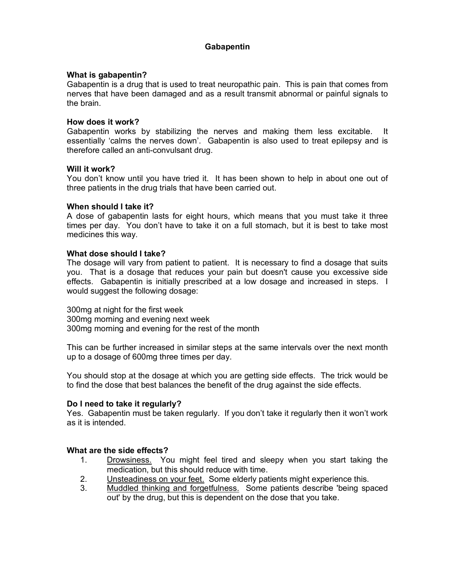# **Gabapentin**

# **What is gabapentin?**

Gabapentin is a drug that is used to treat neuropathic pain. This is pain that comes from nerves that have been damaged and as a result transmit abnormal or painful signals to the brain.

## **How does it work?**

Gabapentin works by stabilizing the nerves and making them less excitable. It essentially 'calms the nerves down'. Gabapentin is also used to treat epilepsy and is therefore called an anti-convulsant drug.

## **Will it work?**

You don't know until you have tried it. It has been shown to help in about one out of three patients in the drug trials that have been carried out.

# **When should I take it?**

A dose of gabapentin lasts for eight hours, which means that you must take it three times per day. You don't have to take it on a full stomach, but it is best to take most medicines this way.

# **What dose should I take?**

The dosage will vary from patient to patient. It is necessary to find a dosage that suits you. That is a dosage that reduces your pain but doesn't cause you excessive side effects. Gabapentin is initially prescribed at a low dosage and increased in steps. I would suggest the following dosage:

300mg at night for the first week 300mg morning and evening next week 300mg morning and evening for the rest of the month

This can be further increased in similar steps at the same intervals over the next month up to a dosage of 600mg three times per day.

You should stop at the dosage at which you are getting side effects. The trick would be to find the dose that best balances the benefit of the drug against the side effects.

## **Do I need to take it regularly?**

Yes. Gabapentin must be taken regularly. If you don't take it regularly then it won't work as it is intended.

# **What are the side effects?**

- 1. Drowsiness. You might feel tired and sleepy when you start taking the medication, but this should reduce with time.
- 2. Unsteadiness on your feet. Some elderly patients might experience this.
- 3. Muddled thinking and forgetfulness. Some patients describe 'being spaced out' by the drug, but this is dependent on the dose that you take.